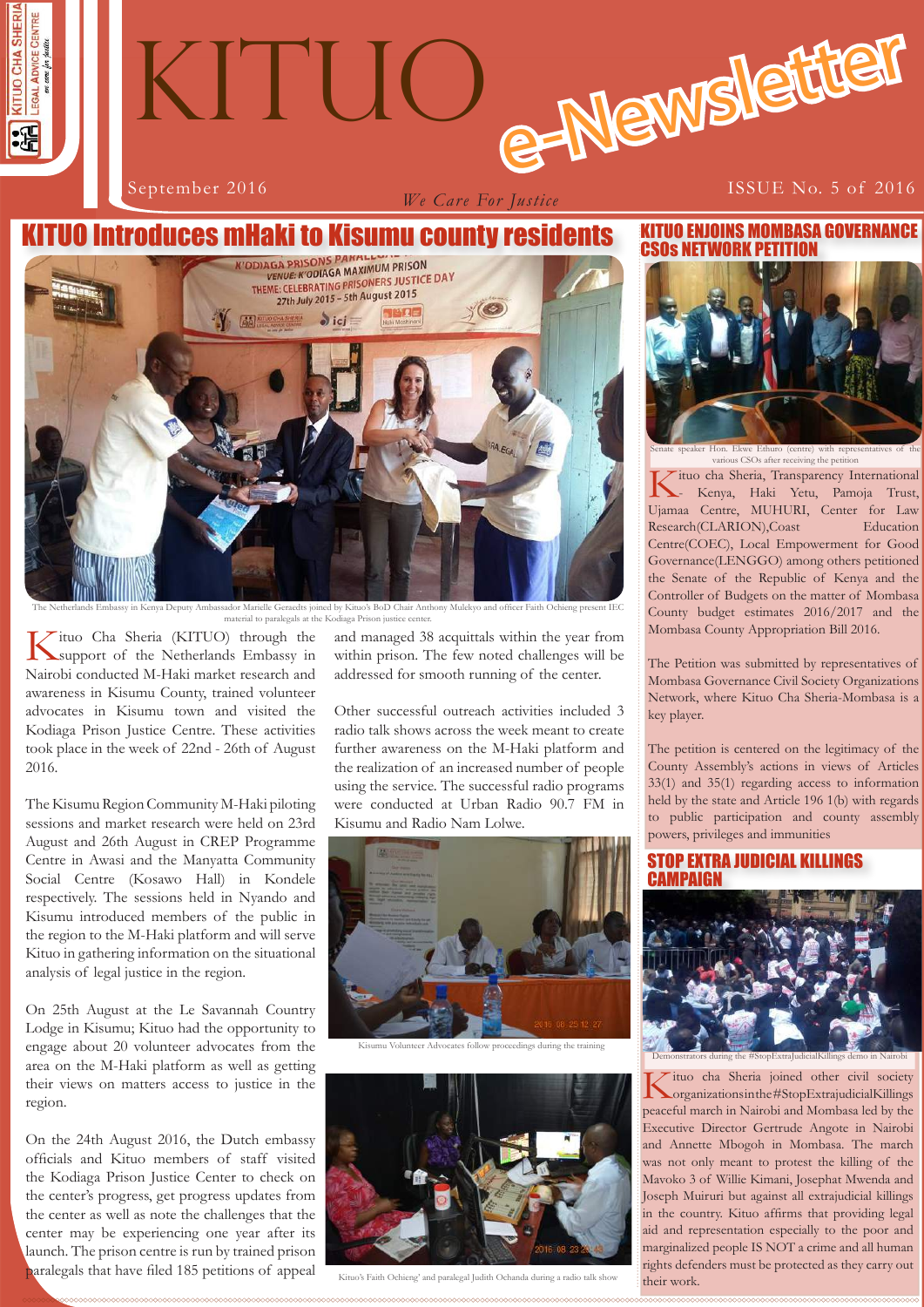# e-Newslette September 2016 **ISSUE** No. 5 of 2016 KITUO

*We Care For Justice*



Sador Marielle Geraedts joined by Kituo's BoD Chair Anthony Mulekyo material to paralegals at the Kodiaga Prison justice center.

Kituo Cha Sheria (KITUO) through the Support of the Netherlands Embassy in Nairobi conducted M-Haki market research and awareness in Kisumu County, trained volunteer advocates in Kisumu town and visited the Kodiaga Prison Justice Centre. These activities took place in the week of 22nd - 26th of August 2016.

The Kisumu Region Community M-Haki piloting sessions and market research were held on 23rd August and 26th August in CREP Programme Centre in Awasi and the Manyatta Community Social Centre (Kosawo Hall) in Kondele respectively. The sessions held in Nyando and Kisumu introduced members of the public in the region to the M-Haki platform and will serve Kituo in gathering information on the situational analysis of legal justice in the region.

On 25th August at the Le Savannah Country Lodge in Kisumu; Kituo had the opportunity to engage about 20 volunteer advocates from the area on the M-Haki platform as well as getting their views on matters access to justice in the region.

On the 24th August 2016, the Dutch embassy officials and Kituo members of staff visited the Kodiaga Prison Justice Center to check on the center's progress, get progress updates from the center as well as note the challenges that the center may be experiencing one year after its launch. The prison centre is run by trained prison paralegals that have filed 185 petitions of appeal

and managed 38 acquittals within the year from within prison. The few noted challenges will be addressed for smooth running of the center.

Other successful outreach activities included 3 radio talk shows across the week meant to create further awareness on the M-Haki platform and the realization of an increased number of people using the service. The successful radio programs were conducted at Urban Radio 90.7 FM in Kisumu and Radio Nam Lolwe.



Kisumu Volunteer Advocates follow proceedings during the training



Kituo's Faith Ochieng' and paralegal Judith Ochanda during a radio talk show

KITUO ENJOINS MOMBASA GOVERNANCE CSOs NETWORK PETITION



us CSOs after receiving the pe

ituo cha Sheria, Transparency International - Kenya, Haki Yetu, Pamoja Trust, Ujamaa Centre, MUHURI, Center for Law Research(CLARION),Coast Education Centre(COEC), Local Empowerment for Good Governance(LENGGO) among others petitioned the Senate of the Republic of Kenya and the Controller of Budgets on the matter of Mombasa County budget estimates 2016/2017 and the Mombasa County Appropriation Bill 2016.

The Petition was submitted by representatives of Mombasa Governance Civil Society Organizations Network, where Kituo Cha Sheria-Mombasa is a key player.

The petition is centered on the legitimacy of the County Assembly's actions in views of Articles 33(1) and 35(1) regarding access to information held by the state and Article 196 1(b) with regards to public participation and county assembly powers, privileges and immunities

#### STOP EXTRA JUDICIAL KILLINGS **CAMPAIGN**



**1 1** rights defenders must be protected as they carry out Kituo cha Sheria joined other civil society organizations in the #StopExtrajudicialKillings peaceful march in Nairobi and Mombasa led by the Executive Director Gertrude Angote in Nairobi and Annette Mbogoh in Mombasa. The march was not only meant to protest the killing of the Mavoko 3 of Willie Kimani, Josephat Mwenda and Joseph Muiruri but against all extrajudicial killings in the country. Kituo affirms that providing legal aid and representation especially to the poor and marginalized people IS NOT a crime and all human their work.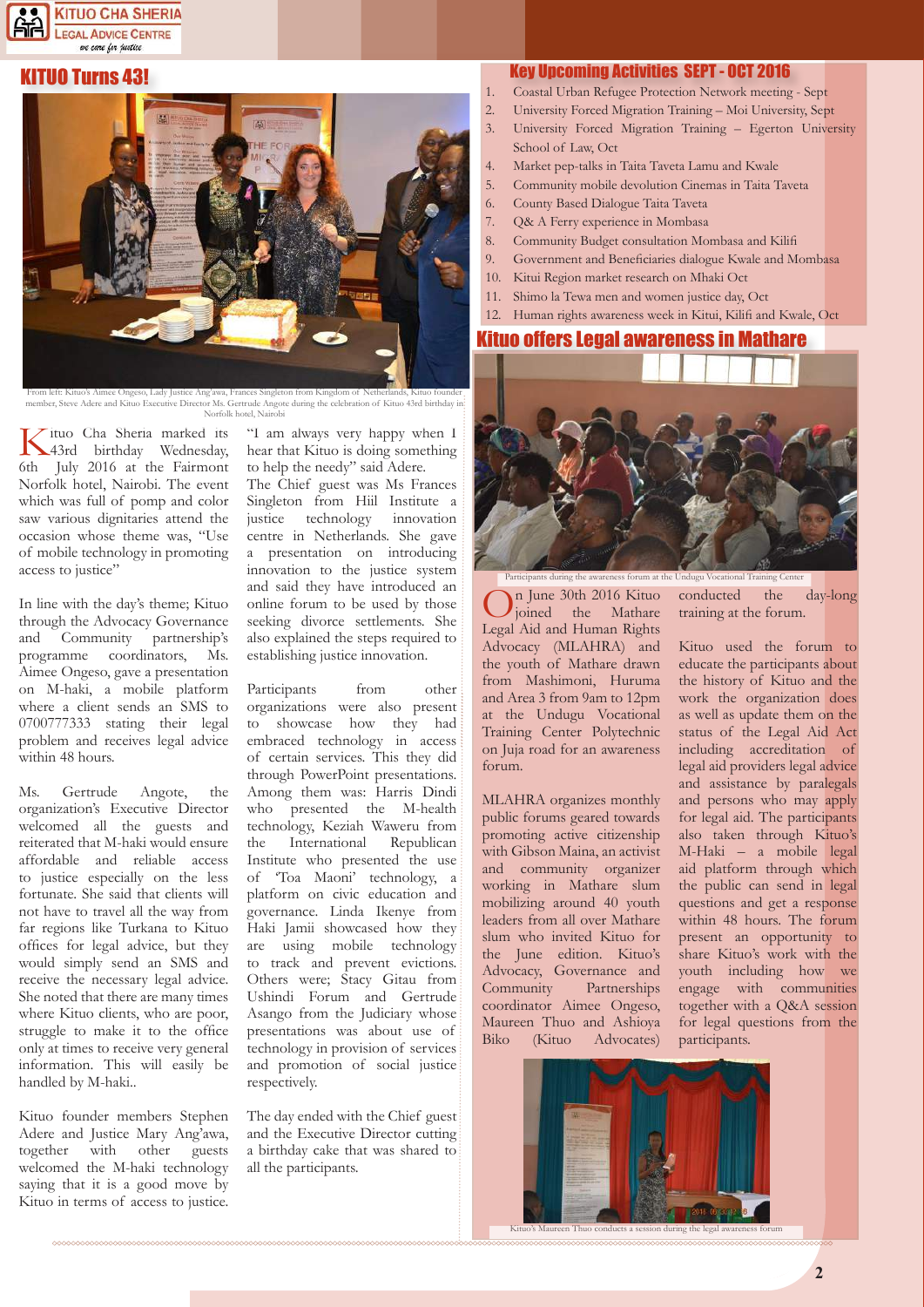

#### KITUO Turns 43!



From left: Kituo's Aimee Ongeso, Lady Justice Ang'awa, Frances Singleton from Kingdom of Netherlands, Kituo founder,<br>member, Steve Adere and Kituo Executive Director Ms. Gertrude Angote during the celebration of Kituo 43rd Norfolk hotel, Nairobi

Kituo Cha Sheria marked its 43rd birthday Wednesday, 6th July 2016 at the Fairmont Norfolk hotel, Nairobi. The event which was full of pomp and color saw various dignitaries attend the occasion whose theme was, "Use of mobile technology in promoting access to justice"

In line with the day's theme; Kituo through the Advocacy Governance and Community partnership's<br>programme coordinators. Ms. programme coordinators, Aimee Ongeso, gave a presentation on M-haki, a mobile platform where a client sends an SMS to 0700777333 stating their legal problem and receives legal advice within 48 hours.

Ms. Gertrude Angote, the organization's Executive Director welcomed all the guests and reiterated that M-haki would ensure affordable and reliable access to justice especially on the less fortunate. She said that clients will not have to travel all the way from far regions like Turkana to Kituo offices for legal advice, but they would simply send an SMS and receive the necessary legal advice. She noted that there are many times where Kituo clients, who are poor, struggle to make it to the office only at times to receive very general information. This will easily be handled by M-haki..

Kituo founder members Stephen Adere and Justice Mary Ang'awa, together with other guests welcomed the M-haki technology saying that it is a good move by Kituo in terms of access to justice.

"I am always very happy when I hear that Kituo is doing something to help the needy" said Adere.

The Chief guest was Ms Frances Singleton from Hiil Institute a justice technology innovation centre in Netherlands. She gave a presentation on introducing innovation to the justice system and said they have introduced an online forum to be used by those seeking divorce settlements. She also explained the steps required to establishing justice innovation.

Participants from other organizations were also present to showcase how they had embraced technology in access of certain services. This they did through PowerPoint presentations. Among them was: Harris Dindi who presented the M-health technology, Keziah Waweru from the International Republican Institute who presented the use of 'Toa Maoni' technology, a platform on civic education and governance. Linda Ikenye from Haki Jamii showcased how they are using mobile technology to track and prevent evictions. Others were; Stacy Gitau from Ushindi Forum and Gertrude Asango from the Judiciary whose presentations was about use of technology in provision of services and promotion of social justice respectively.

The day ended with the Chief guest and the Executive Director cutting a birthday cake that was shared to all the participants.

#### Key Upcoming Activities SEPT - OCT 2016

- 1. Coastal Urban Refugee Protection Network meeting Sept
- 2. University Forced Migration Training Moi University, Sept
- 3. University Forced Migration Training Egerton University School of Law, Oct
- 4. Market pep-talks in Taita Taveta Lamu and Kwale
- 5. Community mobile devolution Cinemas in Taita Taveta
- 6. County Based Dialogue Taita Taveta
- 7. Q& A Ferry experience in Mombasa
- Community Budget consultation Mombasa and Kilifi
- 9. Government and Beneficiaries dialogue Kwale and Mombasa
- 10. Kitui Region market research on Mhaki Oct
- 11. Shimo la Tewa men and women justice day, Oct
- 12. Human rights awareness week in Kitui, Kilifi and Kwale, Oct

#### Kituo offers Legal awareness in Mathare



Participants during the awareness forum at the Undugu Vocational Training Center

On June 30th 2016 Kituo<br>
joined the Mathare Legal Aid and Human Rights Advocacy (MLAHRA) and the youth of Mathare drawn from Mashimoni, Huruma and Area 3 from 9am to 12pm at the Undugu Vocational Training Center Polytechnic on Juja road for an awareness forum.

MLAHRA organizes monthly public forums geared towards promoting active citizenship with Gibson Maina, an activist and community organizer working in Mathare slum mobilizing around 40 youth leaders from all over Mathare slum who invited Kituo for the June edition. Kituo's Advocacy, Governance and Community Partnerships coordinator Aimee Ongeso, Maureen Thuo and Ashioya Biko (Kituo Advocates) conducted the day-long training at the forum.

Kituo used the forum to educate the participants about the history of Kituo and the work the organization does as well as update them on the status of the Legal Aid Act including accreditation of legal aid providers legal advice and assistance by paralegals and persons who may apply for legal aid. The participants also taken through Kituo's M-Haki – a mobile legal aid platform through which the public can send in legal questions and get a response within 48 hours. The forum present an opportunity to share Kituo's work with the youth including how we engage with communities together with a Q&A session for legal questions from the participants.



Kituo's Maureen Thuo conducts a session during the legal awareness forum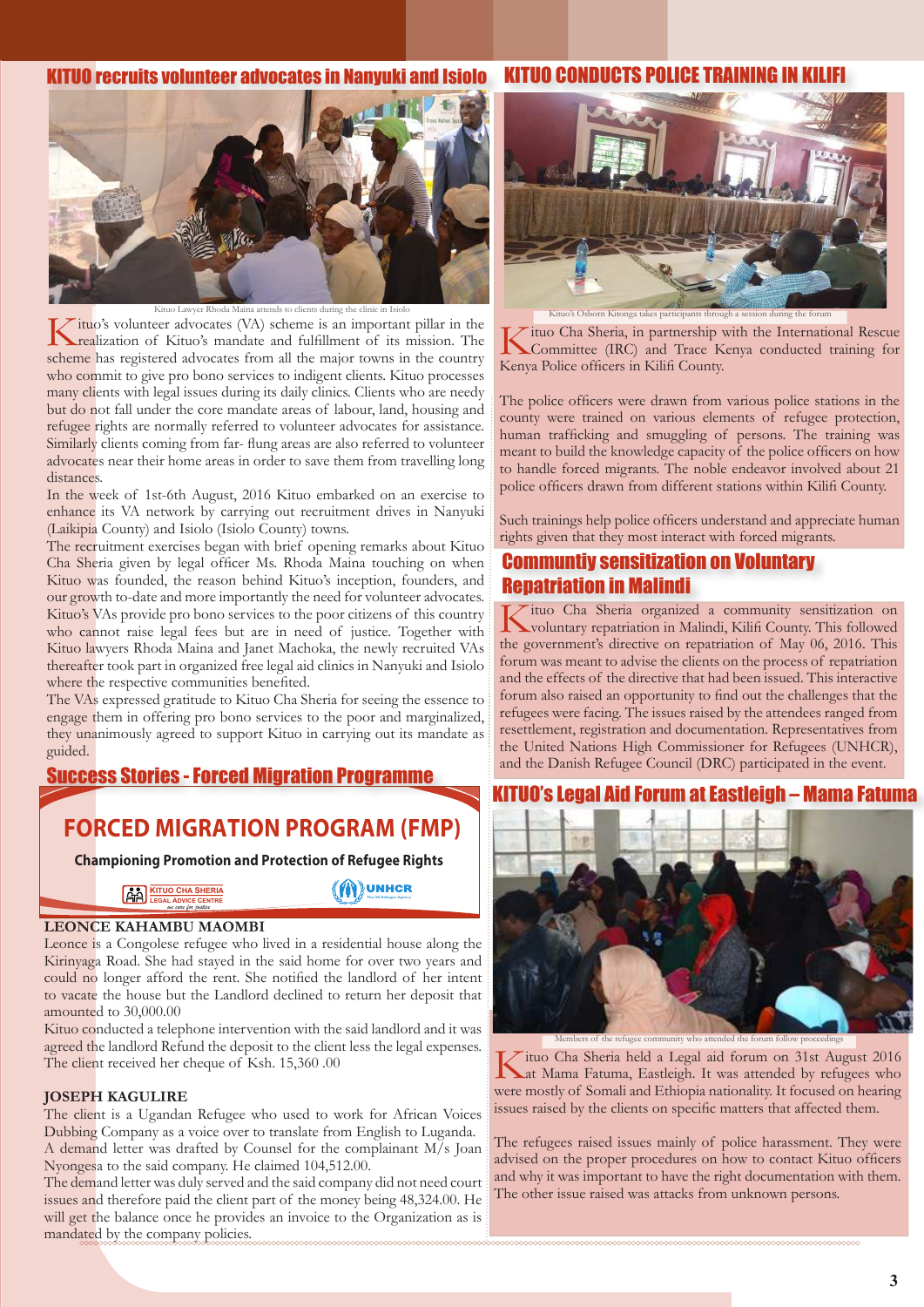#### KITUO CONDUCTS POLICE T KITUO recruits volunteer advocates in Nanyu



Kituo's volunteer advocates (VA) scheme is an important pillar in the crealization of Kituo's mandate and fulfillment of its mission. The scheme has registered advocates from all the major towns in the country who commit to give pro bono services to indigent clients. Kituo processes many clients with legal issues during its daily clinics. Clients who are needy but do not fall under the core mandate areas of labour, land, housing and refugee rights are normally referred to volunteer advocates for assistance. Similarly clients coming from far- flung areas are also referred to volunteer advocates near their home areas in order to save them from travelling long distances.

In the week of 1st-6th August, 2016 Kituo embarked on an exercise to enhance its VA network by carrying out recruitment drives in Nanyuki (Laikipia County) and Isiolo (Isiolo County) towns.

The recruitment exercises began with brief opening remarks about Kituo Cha Sheria given by legal officer Ms. Rhoda Maina touching on when Kituo was founded, the reason behind Kituo's inception, founders, and our growth to-date and more importantly the need for volunteer advocates. Kituo's VAs provide pro bono services to the poor citizens of this country who cannot raise legal fees but are in need of justice. Together with Kituo lawyers Rhoda Maina and Janet Machoka, the newly recruited VAs thereafter took part in organized free legal aid clinics in Nanyuki and Isiolo where the respective communities benefited.

The VAs expressed gratitude to Kituo Cha Sheria for seeing the essence to engage them in offering pro bono services to the poor and marginalized, they unanimously agreed to support Kituo in carrying out its mandate as guided.

Success Stories - Forced Migration Programme

## **FORCED MIGRATION PROGRAM (FMP)**

 **Championing Promotion and Protection of Refugee Rights**

**The UN Refugee Agency**

**MUNHCR** 

**KITUO CHA SHERIA LEGAL ADVICE CENTRE** *we care for justice*

#### **LEONCE KAHAMBU MAOMBI**

Leonce is a Congolese refugee who lived in a residential house along the Kirinyaga Road. She had stayed in the said home for over two years and could no longer afford the rent. She notified the landlord of her intent to vacate the house but the Landlord declined to return her deposit that amounted to 30,000.00

Kituo conducted a telephone intervention with the said landlord and it was agreed the landlord Refund the deposit to the client less the legal expenses. The client received her cheque of Ksh. 15,360 .00

#### **JOSEPH KAGULIRE**

The client is a Ugandan Refugee who used to work for African Voices Dubbing Company as a voice over to translate from English to Luganda. A demand letter was drafted by Counsel for the complainant M/s Joan Nyongesa to the said company. He claimed 104,512.00.

The demand letter was duly served and the said company did not need court issues and therefore paid the client part of the money being 48,324.00. He will get the balance once he provides an invoice to the Organization as is mandated by the company policies.



Kituo's Osborn Kitonga takes participants through a session during the forum

Kituo Cha Sheria, in partnership with the International Rescue<br>Committee (IRC) and Trace Kenya conducted training for Kenya Police officers in Kilifi County.

The police officers were drawn from various police stations in the county were trained on various elements of refugee protection, human trafficking and smuggling of persons. The training was meant to build the knowledge capacity of the police officers on how to handle forced migrants. The noble endeavor involved about 21 police officers drawn from different stations within Kilifi County.

Such trainings help police officers understand and appreciate human rights given that they most interact with forced migrants.

### Communtiy sensitization on Voluntary Repatriation in Malindi

Kituo Cha Sheria organized a community sensitization on voluntary repatriation in Malindi, Kilifi County. This followed the government's directive on repatriation of May 06, 2016. This forum was meant to advise the clients on the process of repatriation and the effects of the directive that had been issued. This interactive forum also raised an opportunity to find out the challenges that the refugees were facing. The issues raised by the attendees ranged from resettlement, registration and documentation. Representatives from the United Nations High Commissioner for Refugees (UNHCR), and the Danish Refugee Council (DRC) participated in the event.

#### $-$  Mama Fatuma



Members of the refugee community who attended the forum follow proceedings

Kituo Cha Sheria held a Legal aid forum on 31st August 2016<br>Lat Mama Fatuma, Eastleigh. It was attended by refugees who were mostly of Somali and Ethiopia nationality. It focused on hearing issues raised by the clients on specific matters that affected them.

The refugees raised issues mainly of police harassment. They were advised on the proper procedures on how to contact Kituo officers and why it was important to have the right documentation with them. The other issue raised was attacks from unknown persons.